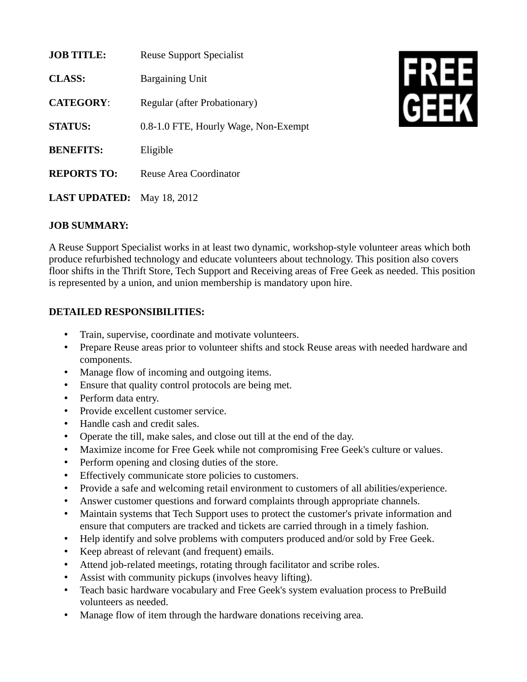| <b>JOB TITLE:</b>    | <b>Reuse Support Specialist</b>      |
|----------------------|--------------------------------------|
| <b>CLASS:</b>        | <b>Bargaining Unit</b>               |
| <b>CATEGORY:</b>     | Regular (after Probationary)         |
| <b>STATUS:</b>       | 0.8-1.0 FTE, Hourly Wage, Non-Exempt |
| <b>BENEFITS:</b>     | Eligible                             |
| <b>REPORTS TO:</b>   | Reuse Area Coordinator               |
| <b>LAST UPDATED:</b> | May 18, 2012                         |



## **JOB SUMMARY:**

A Reuse Support Specialist works in at least two dynamic, workshop-style volunteer areas which both produce refurbished technology and educate volunteers about technology. This position also covers floor shifts in the Thrift Store, Tech Support and Receiving areas of Free Geek as needed. This position is represented by a union, and union membership is mandatory upon hire.

## **DETAILED RESPONSIBILITIES:**

- Train, supervise, coordinate and motivate volunteers.
- Prepare Reuse areas prior to volunteer shifts and stock Reuse areas with needed hardware and components.
- Manage flow of incoming and outgoing items.
- Ensure that quality control protocols are being met.
- Perform data entry.
- Provide excellent customer service.
- Handle cash and credit sales.
- Operate the till, make sales, and close out till at the end of the day.
- Maximize income for Free Geek while not compromising Free Geek's culture or values.
- Perform opening and closing duties of the store.
- Effectively communicate store policies to customers.
- Provide a safe and welcoming retail environment to customers of all abilities/experience.
- Answer customer questions and forward complaints through appropriate channels.
- Maintain systems that Tech Support uses to protect the customer's private information and ensure that computers are tracked and tickets are carried through in a timely fashion.
- Help identify and solve problems with computers produced and/or sold by Free Geek.
- Keep abreast of relevant (and frequent) emails.
- Attend job-related meetings, rotating through facilitator and scribe roles.
- Assist with community pickups (involves heavy lifting).
- Teach basic hardware vocabulary and Free Geek's system evaluation process to PreBuild volunteers as needed.
- Manage flow of item through the hardware donations receiving area.